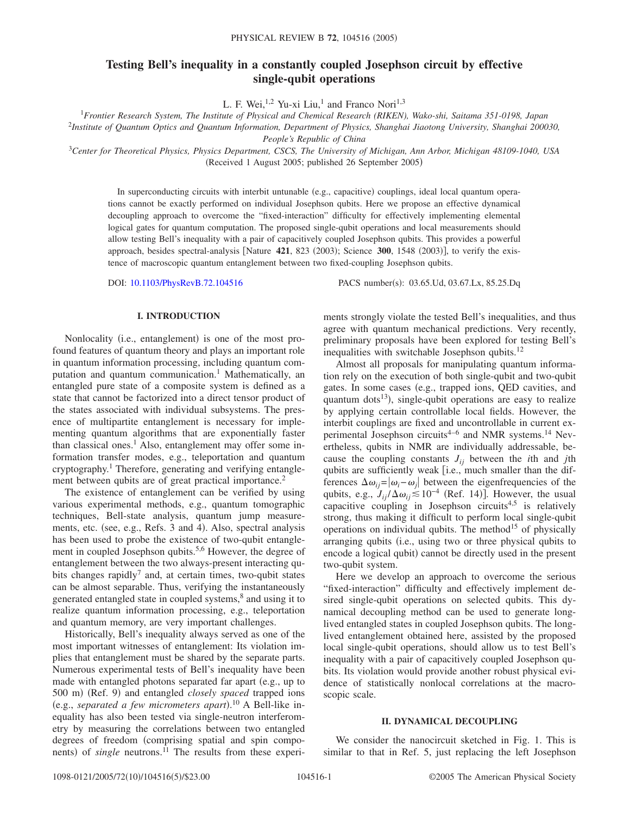# **Testing Bell's inequality in a constantly coupled Josephson circuit by effective single-qubit operations**

L. F. Wei, <sup>1,2</sup> Yu-xi Liu,<sup>1</sup> and Franco Nori<sup>1,3</sup>

<sup>1</sup>*Frontier Research System, The Institute of Physical and Chemical Research (RIKEN), Wako-shi, Saitama 351-0198, Japan*

2 *Institute of Quantum Optics and Quantum Information, Department of Physics, Shanghai Jiaotong University, Shanghai 200030,*

*People's Republic of China*

<sup>3</sup>*Center for Theoretical Physics, Physics Department, CSCS, The University of Michigan, Ann Arbor, Michigan 48109-1040, USA* (Received 1 August 2005; published 26 September 2005)

In superconducting circuits with interbit untunable (e.g., capacitive) couplings, ideal local quantum operations cannot be exactly performed on individual Josephson qubits. Here we propose an effective dynamical decoupling approach to overcome the "fixed-interaction" difficulty for effectively implementing elemental logical gates for quantum computation. The proposed single-qubit operations and local measurements should allow testing Bell's inequality with a pair of capacitively coupled Josephson qubits. This provides a powerful approach, besides spectral-analysis [Nature 421, 823 (2003); Science 300, 1548 (2003)], to verify the existence of macroscopic quantum entanglement between two fixed-coupling Josephson qubits.

DOI: [10.1103/PhysRevB.72.104516](http://dx.doi.org/10.1103/PhysRevB.72.104516)

PACS number(s): 03.65.Ud, 03.67.Lx, 85.25.Dq

### **I. INTRODUCTION**

Nonlocality (i.e., entanglement) is one of the most profound features of quantum theory and plays an important role in quantum information processing, including quantum computation and quantum communication.<sup>1</sup> Mathematically, an entangled pure state of a composite system is defined as a state that cannot be factorized into a direct tensor product of the states associated with individual subsystems. The presence of multipartite entanglement is necessary for implementing quantum algorithms that are exponentially faster than classical ones.<sup>1</sup> Also, entanglement may offer some information transfer modes, e.g., teleportation and quantum cryptography.1 Therefore, generating and verifying entanglement between qubits are of great practical importance.<sup>2</sup>

The existence of entanglement can be verified by using various experimental methods, e.g., quantum tomographic techniques, Bell-state analysis, quantum jump measurements, etc. (see, e.g., Refs. 3 and 4). Also, spectral analysis has been used to probe the existence of two-qubit entanglement in coupled Josephson qubits.<sup>5,6</sup> However, the degree of entanglement between the two always-present interacting qubits changes rapidly<sup>7</sup> and, at certain times, two-qubit states can be almost separable. Thus, verifying the instantaneously generated entangled state in coupled systems,<sup>8</sup> and using it to realize quantum information processing, e.g., teleportation and quantum memory, are very important challenges.

Historically, Bell's inequality always served as one of the most important witnesses of entanglement: Its violation implies that entanglement must be shared by the separate parts. Numerous experimental tests of Bell's inequality have been made with entangled photons separated far apart (e.g., up to 500 m) (Ref. 9) and entangled *closely spaced* trapped ions (e.g., *separated a few micrometers apart*).<sup>10</sup> A Bell-like inequality has also been tested via single-neutron interferometry by measuring the correlations between two entangled degrees of freedom (comprising spatial and spin components) of *single* neutrons.<sup>11</sup> The results from these experiments strongly violate the tested Bell's inequalities, and thus agree with quantum mechanical predictions. Very recently, preliminary proposals have been explored for testing Bell's inequalities with switchable Josephson qubits.<sup>12</sup>

Almost all proposals for manipulating quantum information rely on the execution of both single-qubit and two-qubit gates. In some cases (e.g., trapped ions, QED cavities, and quantum dots<sup>13</sup>), single-qubit operations are easy to realize by applying certain controllable local fields. However, the interbit couplings are fixed and uncontrollable in current experimental Josephson circuits<sup>4–6</sup> and NMR systems.<sup>14</sup> Nevertheless, qubits in NMR are individually addressable, because the coupling constants  $J_{ii}$  between the *i*th and *j*th qubits are sufficiently weak  $[i.e.,$  much smaller than the differences  $\Delta \omega_{ij} = |\omega_i - \omega_j|$  between the eigenfrequencies of the qubits, e.g.,  $J_{ij}/\Delta \omega_{ij} \leq 10^{-4}$  (Ref. 14)]. However, the usual capacitive coupling in Josephson circuits<sup>4,5</sup> is relatively strong, thus making it difficult to perform local single-qubit operations on individual qubits. The method<sup>15</sup> of physically arranging qubits (i.e., using two or three physical qubits to encode a logical qubit) cannot be directly used in the present two-qubit system.

Here we develop an approach to overcome the serious "fixed-interaction" difficulty and effectively implement desired single-qubit operations on selected qubits. This dynamical decoupling method can be used to generate longlived entangled states in coupled Josephson qubits. The longlived entanglement obtained here, assisted by the proposed local single-qubit operations, should allow us to test Bell's inequality with a pair of capacitively coupled Josephson qubits. Its violation would provide another robust physical evidence of statistically nonlocal correlations at the macroscopic scale.

#### **II. DYNAMICAL DECOUPLING**

We consider the nanocircuit sketched in Fig. 1. This is similar to that in Ref. 5, just replacing the left Josephson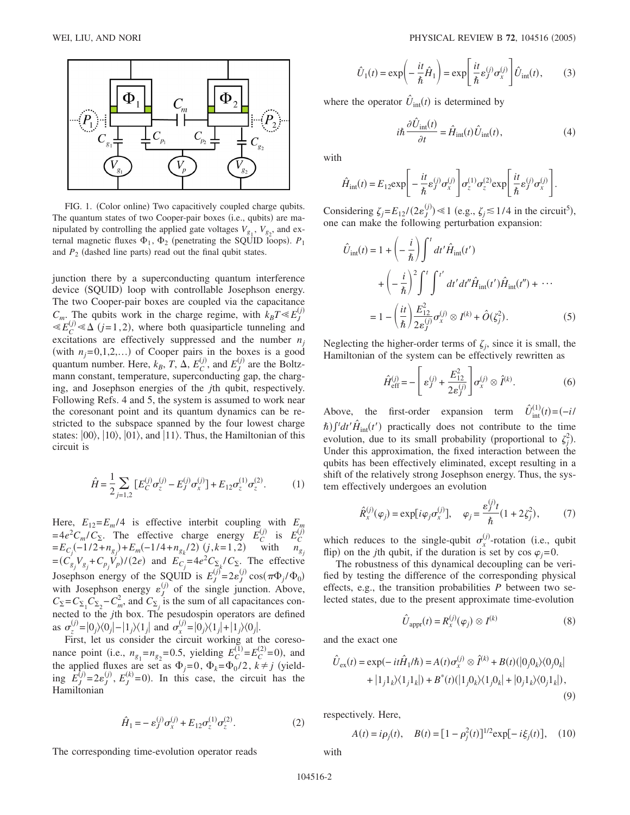

FIG. 1. (Color online) Two capacitively coupled charge qubits. The quantum states of two Cooper-pair boxes (i.e., qubits) are manipulated by controlling the applied gate voltages  $V_{g_1}$ ,  $V_{g_2}$ , and external magnetic fluxes  $\Phi_1$ ,  $\Phi_2$  (penetrating the SQUID loops).  $P_1$ and  $P_2$  (dashed line parts) read out the final qubit states.

junction there by a superconducting quantum interference device (SQUID) loop with controllable Josephson energy. The two Cooper-pair boxes are coupled via the capacitance  $C_m$ . The qubits work in the charge regime, with  $k_B T \ll E_j^{(j)}$  $\ll E_C^{(j)} \ll \Delta$  (*j*=1,2), where both quasiparticle tunneling and excitations are effectively suppressed and the number  $n<sub>i</sub>$ (with  $n_j = 0, 1, 2, \ldots$ ) of Cooper pairs in the boxes is a good quantum number. Here,  $k_B$ , *T*,  $\Delta$ ,  $E_C^{(j)}$ , and  $E_J^{(j)}$  are the Boltzmann constant, temperature, superconducting gap, the charging, and Josephson energies of the *j*th qubit, respectively. Following Refs. 4 and 5, the system is assumed to work near the coresonant point and its quantum dynamics can be restricted to the subspace spanned by the four lowest charge states:  $|00\rangle$ ,  $|10\rangle$ ,  $|01\rangle$ , and  $|11\rangle$ . Thus, the Hamiltonian of this circuit is

$$
\hat{H} = \frac{1}{2} \sum_{j=1,2} \left[ E_C^{(j)} \sigma_z^{(j)} - E_J^{(j)} \sigma_x^{(j)} \right] + E_{12} \sigma_z^{(1)} \sigma_z^{(2)}.
$$
 (1)

Here,  $E_{12} = E_m/4$  is effective interbit coupling with  $E_n$  $=4e^2C_m/C_{\Sigma}$ . The effective charge energy  $\overline{E}_C^{(j)}$  is  $E_C^{(j)}$  $=E_{C_j}(-1/2+n_{g_j})+E_m(-1/4+n_{g_k}/2)$  (*j*,*k*=1,2) with  $n_{g_j}$  $=(C_{g_j}^{\prime} V_{g_j} + C_{p_j} V_p)/(2e)$  and  $E_{C_j} = 4e^2 C_{\Sigma} / C_{\Sigma}$ . The effective Josephson energy of the SQUID is  $E_J^{(j)} = 2\varepsilon_J^{(j)} \cos(\pi \Phi_j / \Phi_0)$ with Josephson energy  $\varepsilon_j^{(j)}$  of the single junction. Above,  $C_{\Sigma} = C_{\Sigma_1} C_{\Sigma_2} - C_m^2$ , and  $C_{\Sigma_j}$  is the sum of all capacitances connected to the *j*th box. The pesudospin operators are defined as  $\sigma_z^{(j)} = |0_j\rangle\langle0_j| - |1_j\rangle\langle1_j|$  and  $\sigma_x^{(j)} = |0_j\rangle\langle1_j| + |1_j\rangle\langle0_j|$ .

First, let us consider the circuit working at the coresonance point (i.e.,  $n_{g_1} = n_{g_2} = 0.5$ , yielding  $E_C^{(1)} = E_C^{(2)} = 0$ ), and the applied fluxes are set as  $\Phi_j = 0$ ,  $\Phi_k = \Phi_0/2$ ,  $k \neq j$  (yield-<br>*i*<sub>ne</sub>  $F^{(j)} = 2e^{(j)} - F^{(k)} = 0$ ). In this ages the simplit has the ing  $E_J^{(j)} = 2\varepsilon_J^{(j)}$ ,  $E_J^{(k)} = 0$ ). In this case, the circuit has the **Hamiltonian** 

$$
\hat{H}_1 = -\,\varepsilon_J^{(j)}\sigma_x^{(j)} + E_{12}\sigma_z^{(1)}\sigma_z^{(2)}.\tag{2}
$$

The corresponding time-evolution operator reads

$$
\hat{U}_1(t) = \exp\left(-\frac{it}{\hbar}\hat{H}_1\right) = \exp\left[\frac{it}{\hbar}\varepsilon_j^{(j)}\sigma_x^{(j)}\right]\hat{U}_{\text{int}}(t),\tag{3}
$$

where the operator  $\hat{U}_{int}(t)$  is determined by

$$
i\hbar \frac{\partial \hat{U}_{\text{int}}(t)}{\partial t} = \hat{H}_{\text{int}}(t)\hat{U}_{\text{int}}(t), \tag{4}
$$

with

$$
\hat{H}_{\rm int}(t) = E_{12} \exp \left[ -\frac{it}{\hbar} \varepsilon_J^{(j)} \sigma_x^{(j)} \right] \sigma_z^{(1)} \sigma_z^{(2)} \exp \left[ \frac{it}{\hbar} \varepsilon_J^{(j)} \sigma_x^{(j)} \right].
$$

Considering  $\zeta_j = E_{12} / (2\varepsilon_j^{(j)}) \ll 1$  (e.g.,  $\zeta_j \lesssim 1/4$  in the circuit<sup>5</sup>), one can make the following perturbation expansion:

$$
\hat{U}_{int}(t) = 1 + \left(-\frac{i}{\hbar}\right) \int^t dt' \hat{H}_{int}(t')
$$
\n
$$
+ \left(-\frac{i}{\hbar}\right)^2 \int^t \int^{t'} dt' dt'' \hat{H}_{int}(t') \hat{H}_{int}(t'') + \cdots
$$
\n
$$
= 1 - \left(\frac{it}{\hbar}\right) \frac{E_{12}^2}{2\varepsilon_j^{(j)}} \sigma_x^{(j)} \otimes I^{(k)} + \hat{O}(\xi_j^2). \tag{5}
$$

Neglecting the higher-order terms of  $\zeta_i$ , since it is small, the Hamiltonian of the system can be effectively rewritten as

$$
\hat{H}_{\text{eff}}^{(j)} = -\left[\varepsilon_j^{(j)} + \frac{E_{12}^2}{2\varepsilon_j^{(j)}}\right] \sigma_x^{(j)} \otimes \hat{I}^{(k)}.\tag{6}
$$

Above, the first-order expansion term  $\hat{U}_{int}^{(1)}$  $t_{\text{int}}^{(1)}(t) = (-i)^{i}$  $\hat{h}$ ) $\int$ <sup>t</sup> $dt'$   $\hat{H}_{int}(t')$  practically does not contribute to the time evolution, due to its small probability (proportional to  $\zeta_j^2$ ). Under this approximation, the fixed interaction between the qubits has been effectively eliminated, except resulting in a shift of the relatively strong Josephson energy. Thus, the system effectively undergoes an evolution

$$
\hat{R}_x^{(j)}(\varphi_j) = \exp[i\varphi_j \sigma_x^{(j)}], \quad \varphi_j = \frac{\varepsilon_j^{(j)}t}{\hbar} (1 + 2\zeta_j^2), \quad (7)
$$

which reduces to the single-qubit  $\sigma_x^{(j)}$ -rotation (i.e., qubit flip) on the *j*th qubit, if the duration is set by  $\cos \varphi_j = 0$ .

The robustness of this dynamical decoupling can be verified by testing the difference of the corresponding physical effects, e.g., the transition probabilities *P* between two selected states, due to the present approximate time-evolution

$$
\hat{U}_{\text{appr}}(t) = R_x^{(j)}(\varphi_j) \otimes I^{(k)} \tag{8}
$$

and the exact one

$$
\hat{U}_{\text{ex}}(t) = \exp(-it\hat{H}_1/\hbar) = A(t)\sigma_x^{(j)} \otimes \hat{I}^{(k)} + B(t)(|0_j 0_k \rangle \langle 0_j 0_k | + |1_j 1_k \rangle \langle 1_j 1_k|) + B^*(t)(|1_j 0_k \rangle \langle 1_j 0_k| + |0_j 1_k \rangle \langle 0_j 1_k|),
$$
\n(9)

respectively. Here,

$$
A(t) = i\rho_j(t), \quad B(t) = [1 - \rho_j^2(t)]^{1/2} \exp[-i\xi_j(t)], \quad (10)
$$

with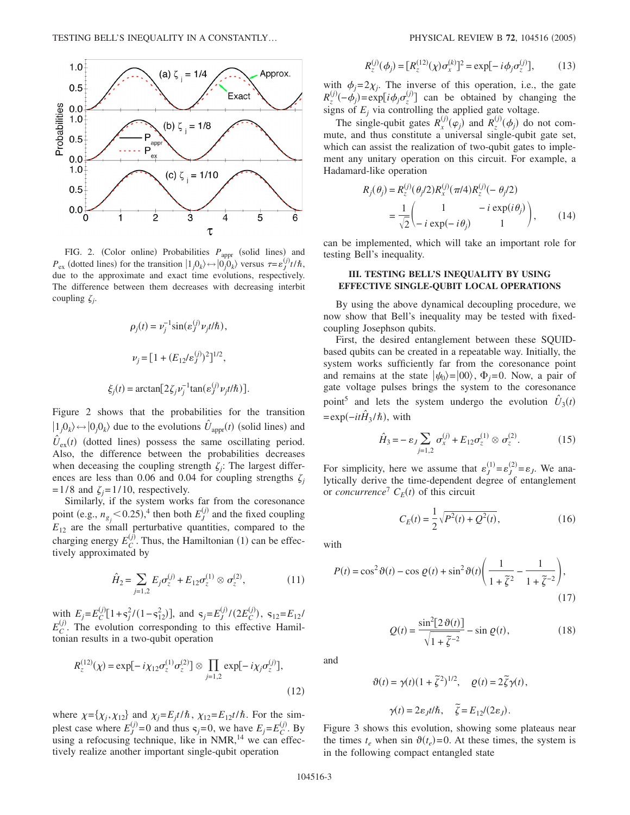

FIG. 2. (Color online) Probabilities  $P_{\text{appr}}$  (solid lines) and  $P_{\text{ex}}$  (dotted lines) for the transition  $|1_j0_k\rangle \leftrightarrow |0_j0_k\rangle$  versus  $\tau = \varepsilon_j^{(j)} t/\hbar$ , due to the approximate and exact time evolutions, respectively. The difference between them decreases with decreasing interbit coupling  $\zeta_i$ .

$$
\rho_j(t) = \nu_j^{-1} \sin(\varepsilon_j^{(j)} \nu_j t/\hbar),
$$
  

$$
\nu_j = [1 + (E_{12}/\varepsilon_j^{(j)})^2]^{1/2},
$$
  

$$
\xi_j(t) = \arctan[2\zeta_j \nu_j^{-1} \tan(\varepsilon_j^{(j)} \nu_j t/\hbar)].
$$

Figure 2 shows that the probabilities for the transition  $|1_j0_k\rangle \leftrightarrow |0_j0_k\rangle$  due to the evolutions  $\hat{U}_{appr}(t)$  (solid lines) and  $\hat{U}_{\text{ex}}(t)$  (dotted lines) possess the same oscillating period. Also, the difference between the probabilities decreases when deceasing the coupling strength  $\zeta_i$ : The largest differences are less than 0.06 and 0.04 for coupling strengths  $\zeta_i$  $=1/8$  and  $\zeta_i = 1/10$ , respectively.

Similarly, if the system works far from the coresonance point (e.g.,  $n_{g_j}$  < 0.25),<sup>4</sup> then both  $E_J^{(j)}$  and the fixed coupling  $E_{12}$  are the small perturbative quantities, compared to the charging energy  $E_C^{(j)}$ . Thus, the Hamiltonian (1) can be effectively approximated by

$$
\hat{H}_2 = \sum_{j=1,2} E_j \sigma_z^{(j)} + E_{12} \sigma_z^{(1)} \otimes \sigma_z^{(2)},\tag{11}
$$

with  $E_j = E_C^{(j)}[1 + s_j^2/(1 - s_{12}^2)]$ , and  $s_j = E_J^{(j)}/(2E_C^{(j)})$ ,  $s_{12} = E_{12}/J$  $E_C^{(j)}$ . The evolution corresponding to this effective Hamiltonian results in a two-qubit operation

$$
R_z^{(12)}(\chi) = \exp[-i\chi_{12}\sigma_z^{(1)}\sigma_z^{(2)}] \otimes \prod_{j=1,2} \exp[-i\chi_j\sigma_z^{(j)}],
$$
\n(12)

where  $\chi = {\chi_j, \chi_{12}}$  and  $\chi_j = E_j t/\hbar$ ,  $\chi_{12} = E_{12} t/\hbar$ . For the simplest case where  $E_j^{(j)}=0$  and thus  $s_j=0$ , we have  $E_j=E_C^{(j)}$ . By using a refocusing technique, like in NMR,<sup>14</sup> we can effectively realize another important single-qubit operation

$$
R_z^{(j)}(\phi_j) = [R_z^{(12)}(\chi)\sigma_x^{(k)}]^2 = \exp[-i\phi_j\sigma_z^{(j)}],\tag{13}
$$

with  $\phi_i = 2\chi_i$ . The inverse of this operation, i.e., the gate  $R_z^{(j)}(-\phi_j) = \exp[i\phi_j \sigma_z^{(j)}]$  can be obtained by changing the signs of  $E_i$  via controlling the applied gate voltage.

The single-qubit gates  $R_x^{(j)}(e_j)$  and  $R_z^{(j)}(e_j)$  do not commute, and thus constitute a universal single-qubit gate set, which can assist the realization of two-qubit gates to implement any unitary operation on this circuit. For example, a Hadamard-like operation

$$
R_j(\theta_j) = R_z^{(j)}(\theta_j/2) R_x^{(j)}(\pi/4) R_z^{(j)}(-\theta_j/2)
$$
  
= 
$$
\frac{1}{\sqrt{2}} \begin{pmatrix} 1 & -i \exp(i\theta_j) \\ -i \exp(-i\theta_j) & 1 \end{pmatrix},
$$
 (14)

can be implemented, which will take an important role for testing Bell's inequality.

## **III. TESTING BELL'S INEQUALITY BY USING EFFECTIVE SINGLE-QUBIT LOCAL OPERATIONS**

By using the above dynamical decoupling procedure, we now show that Bell's inequality may be tested with fixedcoupling Josephson qubits.

First, the desired entanglement between these SQUIDbased qubits can be created in a repeatable way. Initially, the system works sufficiently far from the coresonance point and remains at the state  $|\psi_0\rangle = |00\rangle$ ,  $\Phi_i = 0$ . Now, a pair of gate voltage pulses brings the system to the coresonance point<sup>5</sup> and lets the system undergo the evolution  $\hat{U}_3(t)$  $= \exp(-it\hat{H}_3/\hbar)$ , with

$$
\hat{H}_3 = -\varepsilon_J \sum_{j=1,2} \sigma_x^{(j)} + E_{12} \sigma_z^{(1)} \otimes \sigma_z^{(2)}.
$$
 (15)

For simplicity, here we assume that  $\varepsilon_J^{(1)} = \varepsilon_J^{(2)} = \varepsilon_J$ . We analytically derive the time-dependent degree of entanglement or *concurrence*<sup> $7$ </sup>  $C_E(t)$  of this circuit

$$
C_E(t) = \frac{1}{2} \sqrt{P^2(t) + Q^2(t)},
$$
\n(16)

with

$$
P(t) = \cos^2 \vartheta(t) - \cos \varrho(t) + \sin^2 \vartheta(t) \left( \frac{1}{1 + \tilde{\zeta}^2} - \frac{1}{1 + \tilde{\zeta}^{-2}} \right),\tag{17}
$$

$$
Q(t) = \frac{\sin^2[2\vartheta(t)]}{\sqrt{1 + \tilde{\zeta}^{-2}}} - \sin \varrho(t),
$$
 (18)

and

$$
\vartheta(t) = \gamma(t)(1 + \tilde{\zeta}^2)^{1/2}, \quad \varrho(t) = 2\tilde{\zeta}\gamma(t),
$$

$$
\gamma(t) = 2\varepsilon_J t/\hbar, \quad \tilde{\zeta} = E_{12}/(2\varepsilon_J).
$$

Figure 3 shows this evolution, showing some plateaus near the times  $t_e$  when sin  $\vartheta(t_e) = 0$ . At these times, the system is in the following compact entangled state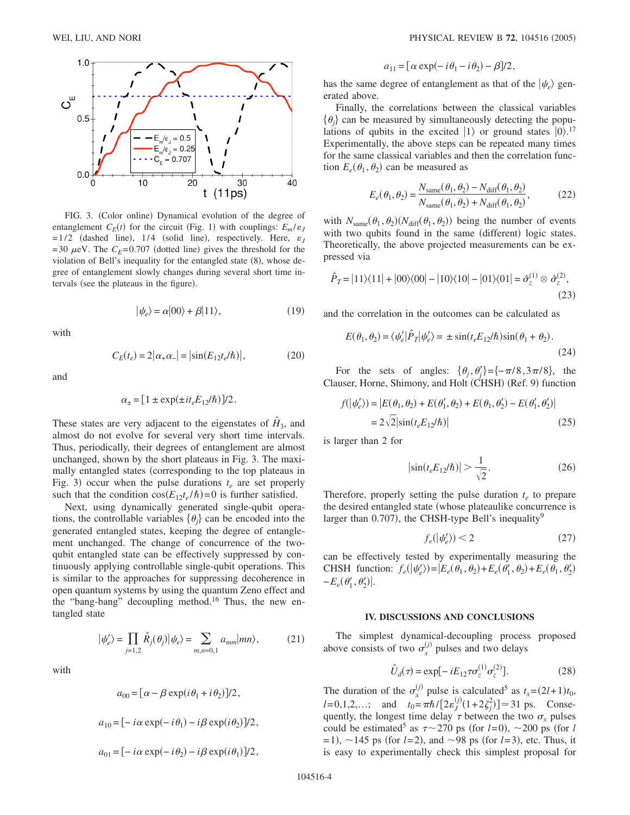

FIG. 3. (Color online) Dynamical evolution of the degree of entanglement  $C_E(t)$  for the circuit (Fig. 1) with couplings:  $E_m/\varepsilon_j$  $= 1/2$  (dashed line), 1/4 (solid line), respectively. Here,  $\varepsilon_J$  $=$  30  $\mu$ eV. The  $C_E$ =0.707 (dotted line) gives the threshold for the violation of Bell's inequality for the entangled state (8), whose degree of entanglement slowly changes during several short time intervals (see the plateaus in the figure).

$$
|\psi_e\rangle = \alpha|00\rangle + \beta|11\rangle, \tag{19}
$$

with

$$
C_E(t_e) = 2|\alpha_+ \alpha_-| = |\sin(E_{12}t_e/\hbar)|,\tag{20}
$$

and

$$
\alpha_{\pm} = [1 \pm \exp(\pm it_e E_{12}/\hbar)]/2.
$$

These states are very adjacent to the eigenstates of  $\hat{H}_3$ , and almost do not evolve for several very short time intervals. Thus, periodically, their degrees of entanglement are almost unchanged, shown by the short plateaus in Fig. 3. The maximally entangled states (corresponding to the top plateaus in Fig. 3) occur when the pulse durations  $t_e$  are set properly such that the condition  $cos(E_{12}t_e/\hbar) = 0$  is further satisfied.

Next, using dynamically generated single-qubit operations, the controllable variables  $\{\theta_i\}$  can be encoded into the generated entangled states, keeping the degree of entanglement unchanged. The change of concurrence of the twoqubit entangled state can be effectively suppressed by continuously applying controllable single-qubit operations. This is similar to the approaches for suppressing decoherence in open quantum systems by using the quantum Zeno effect and the "bang-bang" decoupling method.<sup>16</sup> Thus, the new entangled state

$$
|\psi'_e\rangle = \prod_{j=1,2} \hat{R}_j(\theta_j) |\psi_e\rangle = \sum_{m,n=0,1} a_{mm} |mn\rangle, \tag{21}
$$

with

$$
a_{00} = [\alpha - \beta \exp(i\theta_1 + i\theta_2)]/2,
$$
  
\n
$$
a_{10} = [-i\alpha \exp(-i\theta_1) - i\beta \exp(i\theta_2)]/2,
$$
  
\n
$$
a_{01} = [-i\alpha \exp(-i\theta_2) - i\beta \exp(i\theta_1)]/2,
$$

$$
a_{11} = [\alpha \exp(-i\theta_1 - i\theta_2) - \beta]/2,
$$

has the same degree of entanglement as that of the  $|\psi_e\rangle$  generated above.

Finally, the correlations between the classical variables  $\{\theta_i\}$  can be measured by simultaneously detecting the populations of qubits in the excited  $|1\rangle$  or ground states  $|0\rangle$ .<sup>17</sup> Experimentally, the above steps can be repeated many times for the same classical variables and then the correlation function  $E_e(\theta_1, \theta_2)$  can be measured as

$$
E_e(\theta_1, \theta_2) = \frac{N_{\text{same}}(\theta_1, \theta_2) - N_{\text{diff}}(\theta_1, \theta_2)}{N_{\text{same}}(\theta_1, \theta_2) + N_{\text{diff}}(\theta_1, \theta_2)},
$$
(22)

with  $N_{\text{same}}(\theta_1, \theta_2) (N_{\text{diff}}(\theta_1, \theta_2))$  being the number of events with two qubits found in the same (different) logic states. Theoretically, the above projected measurements can be expressed via

$$
\hat{P}_T = |11\rangle\langle11| + |00\rangle\langle00| - |10\rangle\langle10| - |01\rangle\langle01| = \hat{\sigma}_z^{(1)} \otimes \hat{\sigma}_z^{(2)},
$$
\n(23)

and the correlation in the outcomes can be calculated as

$$
E(\theta_1, \theta_2) = \langle \psi'_e | \hat{P}_T | \psi'_e \rangle = \pm \sin(t_e E_{12} / \hbar) \sin(\theta_1 + \theta_2).
$$
\n(24)

For the sets of angles:  $\{\theta_j, \theta'_j\} = \{-\pi/8, 3\pi/8\}$ , the Clauser, Horne, Shimony, and Holt (CHSH) (Ref. 9) function

$$
f(|\psi'_e\rangle) = |E(\theta_1, \theta_2) + E(\theta'_1, \theta_2) + E(\theta_1, \theta'_2) - E(\theta'_1, \theta'_2)|
$$
  
=  $2\sqrt{2}|\sin(t_e E_{12}/\hbar)|$  (25)

is larger than 2 for

$$
\left|\sin(t_e E_{12}/\hbar)\right| > \frac{1}{\sqrt{2}}.\tag{26}
$$

Therefore, properly setting the pulse duration  $t_e$  to prepare the desired entangled state (whose plateaulike concurrence is larger than 0.707), the CHSH-type Bell's inequality<sup>9</sup>

$$
f_e(\left|\psi'_e\right|) < 2\tag{27}
$$

can be effectively tested by experimentally measuring the CHSH function:  $f_e(|\psi'_e\rangle) = |E_e(\theta_1, \theta_2) + E_e(\theta'_1, \theta_2) + E_e(\theta_1, \theta'_2)$  $-E_e(\theta'_1, \theta'_2)$ .

### **IV. DISCUSSIONS AND CONCLUSIONS**

The simplest dynamical-decoupling process proposed above consists of two  $\sigma_x^{(j)}$  pulses and two delays

$$
\hat{U}_d(\tau) = \exp[-iE_{12}\tau \sigma_z^{(1)} \sigma_z^{(2)}].
$$
 (28)

The duration of the  $\sigma_x^{(j)}$  pulse is calculated<sup>5</sup> as  $t_x = (2l+1)t_0$ ,  $l = 0, 1, 2, \dots;$  and  $t_0 = \pi \hbar / [2 \varepsilon_j^{(j)} (1 + 2 \zeta_j^2)] \approx 31 \text{ ps.}$  Consequently, the longest time delay  $\tau$  between the two  $\sigma_r$  pulses could be estimated<sup>5</sup> as  $\tau \sim 270$  ps (for *l*=0),  $\sim$ 200 ps (for *l*  $=$  1),  $\sim$  145 ps (for *l*=2), and  $\sim$ 98 ps (for *l*=3), etc. Thus, it is easy to experimentally check this simplest proposal for